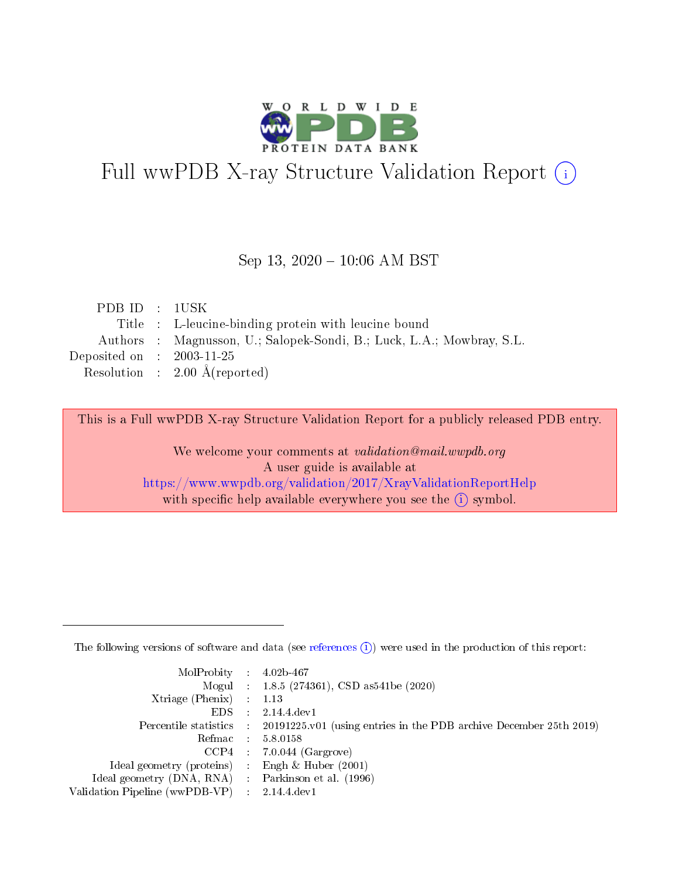

# Full wwPDB X-ray Structure Validation Report (i)

#### Sep 13,  $2020 - 10:06$  AM BST

| PDBID : 1USK                |                                                                       |
|-----------------------------|-----------------------------------------------------------------------|
|                             | Title : L-leucine-binding protein with leucine bound                  |
|                             | Authors : Magnusson, U.; Salopek-Sondi, B.; Luck, L.A.; Mowbray, S.L. |
| Deposited on : $2003-11-25$ |                                                                       |
|                             | Resolution : $2.00 \text{ Å}$ (reported)                              |
|                             |                                                                       |

This is a Full wwPDB X-ray Structure Validation Report for a publicly released PDB entry.

We welcome your comments at validation@mail.wwpdb.org A user guide is available at <https://www.wwpdb.org/validation/2017/XrayValidationReportHelp> with specific help available everywhere you see the  $(i)$  symbol.

The following versions of software and data (see [references](https://www.wwpdb.org/validation/2017/XrayValidationReportHelp#references)  $(1)$ ) were used in the production of this report:

| $MolProbability$ 4.02b-467                          |                                                                                            |
|-----------------------------------------------------|--------------------------------------------------------------------------------------------|
|                                                     | Mogul : $1.8.5$ (274361), CSD as 541be (2020)                                              |
| Xtriage (Phenix) $: 1.13$                           |                                                                                            |
| EDS                                                 | 2.14.4 dev1                                                                                |
|                                                     | Percentile statistics : 20191225.v01 (using entries in the PDB archive December 25th 2019) |
|                                                     | Refmac : 5.8.0158                                                                          |
|                                                     | $CCP4$ 7.0.044 (Gargrove)                                                                  |
| Ideal geometry (proteins) : Engh $\&$ Huber (2001)  |                                                                                            |
| Ideal geometry (DNA, RNA) : Parkinson et al. (1996) |                                                                                            |
| Validation Pipeline (wwPDB-VP) : 2.14.4.dev1        |                                                                                            |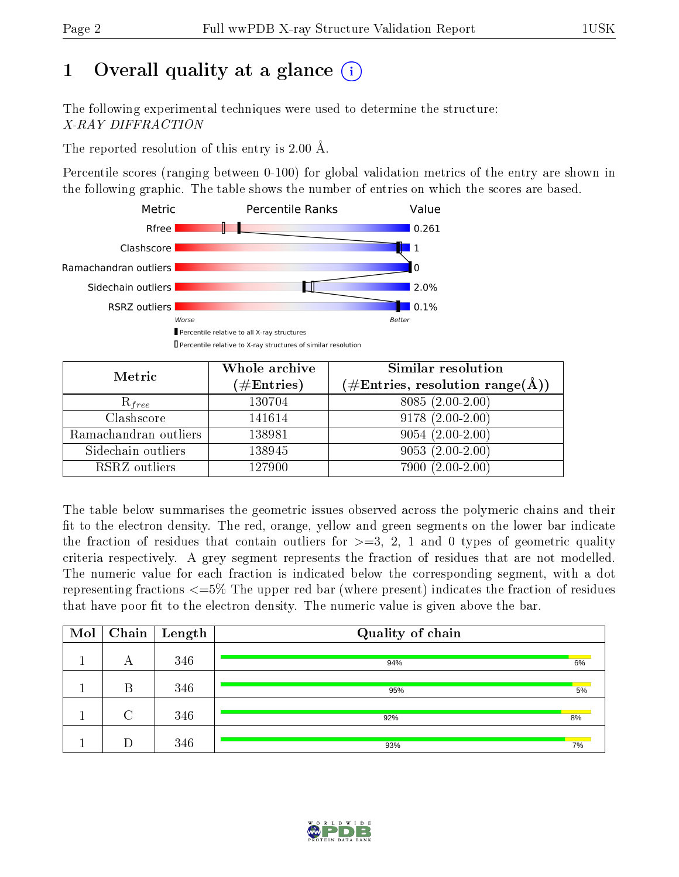## 1 [O](https://www.wwpdb.org/validation/2017/XrayValidationReportHelp#overall_quality)verall quality at a glance  $(i)$

The following experimental techniques were used to determine the structure: X-RAY DIFFRACTION

The reported resolution of this entry is 2.00 Å.

Percentile scores (ranging between 0-100) for global validation metrics of the entry are shown in the following graphic. The table shows the number of entries on which the scores are based.



| Metric                | Whole archive<br>$(\#\mathrm{Entries})$ | Similar resolution<br>$(\#\text{Entries},\,\text{resolution}\,\,\text{range}(\textup{\AA}))$ |  |  |
|-----------------------|-----------------------------------------|----------------------------------------------------------------------------------------------|--|--|
| $R_{free}$            | 130704                                  | $8085(2.00-2.00)$                                                                            |  |  |
| Clashscore            | 141614                                  | $9178(2.00-2.00)$                                                                            |  |  |
| Ramachandran outliers | 138981                                  | $9054(2.00-2.00)$                                                                            |  |  |
| Sidechain outliers    | 138945                                  | $9053(2.00-2.00)$                                                                            |  |  |
| RSRZ outliers         | 127900                                  | 7900 (2.00-2.00)                                                                             |  |  |

The table below summarises the geometric issues observed across the polymeric chains and their fit to the electron density. The red, orange, yellow and green segments on the lower bar indicate the fraction of residues that contain outliers for  $>=3, 2, 1$  and 0 types of geometric quality criteria respectively. A grey segment represents the fraction of residues that are not modelled. The numeric value for each fraction is indicated below the corresponding segment, with a dot representing fractions <=5% The upper red bar (where present) indicates the fraction of residues that have poor fit to the electron density. The numeric value is given above the bar.

| Mol |        | $\boxed{\text{Chain}}$ Length | Quality of chain |    |
|-----|--------|-------------------------------|------------------|----|
|     | А      | 346                           | 94%              | 6% |
|     | В      | 346                           | 95%              | 5% |
|     | $\cap$ | 346                           | 92%              | 8% |
|     |        | 346                           | 93%              | 7% |

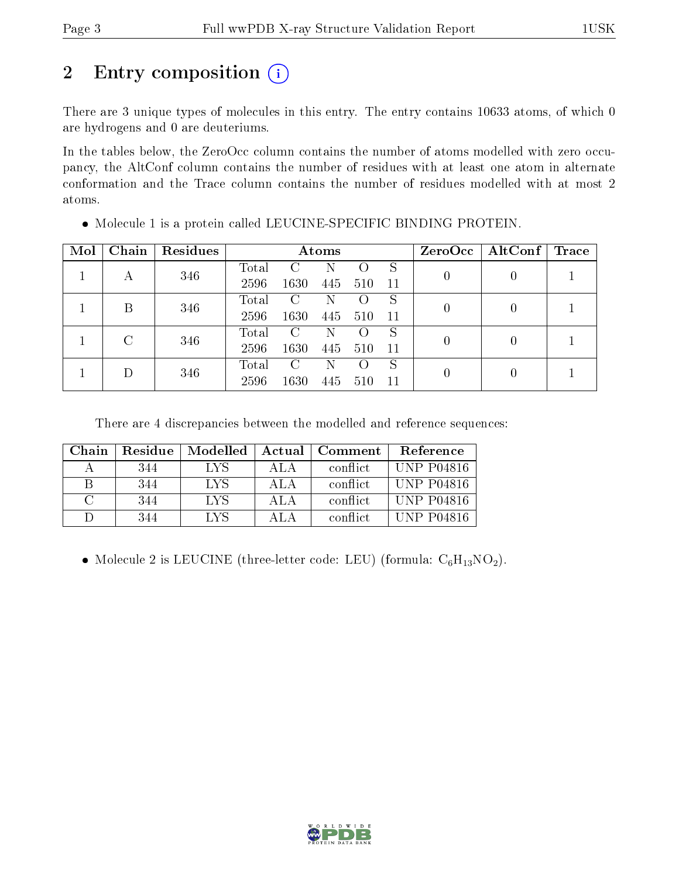## 2 Entry composition (i)

There are 3 unique types of molecules in this entry. The entry contains 10633 atoms, of which 0 are hydrogens and 0 are deuteriums.

In the tables below, the ZeroOcc column contains the number of atoms modelled with zero occupancy, the AltConf column contains the number of residues with at least one atom in alternate conformation and the Trace column contains the number of residues modelled with at most 2 atoms.

| Mol | Chain | Residues |       | Atoms |     |                  |     |   | $\mid$ AltConf $\mid$<br>ZeroOcc | $\operatorname{Trace}$ |
|-----|-------|----------|-------|-------|-----|------------------|-----|---|----------------------------------|------------------------|
|     | А     | 346      | Total | €.    | N   |                  | S   |   |                                  |                        |
|     |       |          | 2596  | 1630  | 445 | 510              | 11  |   |                                  |                        |
|     | В     | 346      | Total | C     | N   |                  | S   |   | 0                                |                        |
|     |       |          | 2596  | 1630  | 445 | 510              | -11 |   |                                  |                        |
|     | C     |          | Total | C     | N   |                  | S   |   |                                  |                        |
|     | 346   | 2596     | 1630  | 445   | 510 | -11              |     | 0 |                                  |                        |
|     |       |          | Total | C     | N   | $\left( \right)$ | S   |   | 0                                |                        |
|     | 346   | 2596     | 1630  | 445   | 510 | 11               |     |   |                                  |                        |

Molecule 1 is a protein called LEUCINE-SPECIFIC BINDING PROTEIN.

There are 4 discrepancies between the modelled and reference sequences:

| Chain  | Residue | Modelled   | Actual | Comment   | Reference         |
|--------|---------|------------|--------|-----------|-------------------|
|        | 344     | <b>LYS</b> | ALA    | conflict  | <b>UNP P04816</b> |
| В      | 344     | LYS        | ALA    | conflict. | <b>UNP P04816</b> |
| $\cap$ | 344     | LYS        | ALA    | conflict  | <b>UNP P04816</b> |
|        | 344     | LYS        | ΔΙΔ    | conflict  | UNP P04816        |

• Molecule 2 is LEUCINE (three-letter code: LEU) (formula:  $C_6H_{13}NO_2$ ).

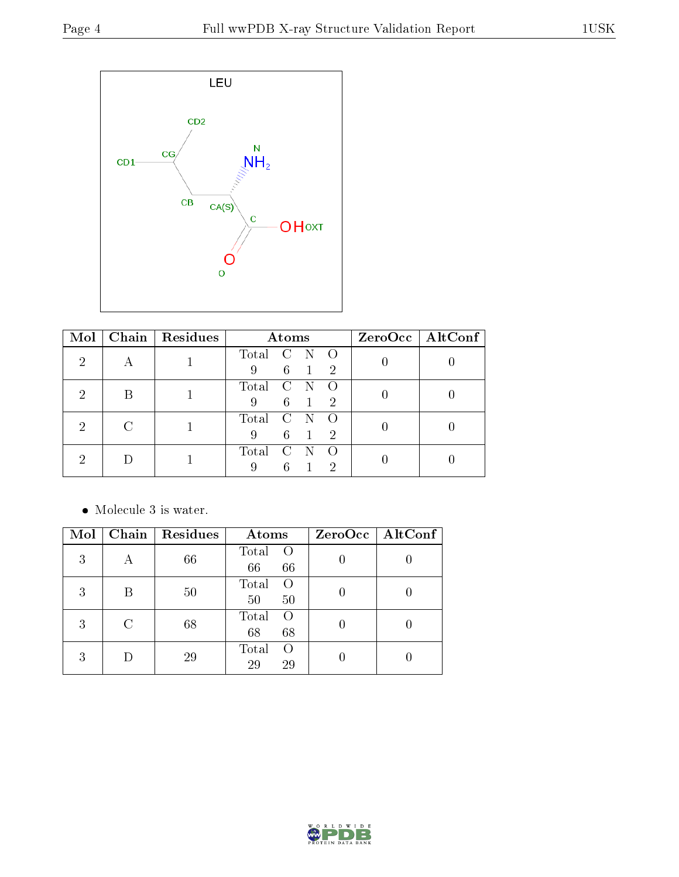

| Mol |           | Chain   Residues | Atoms                                                         | $ZeroOcc \   \$ AltConf $ $ |
|-----|-----------|------------------|---------------------------------------------------------------|-----------------------------|
| 2   | $\forall$ |                  | Total C N<br>$\bigcirc$<br>$6 \quad 1$<br>$\overline{2}$<br>9 |                             |
|     |           |                  | Total C N<br>$6 \quad 1$<br>$\overline{2}$<br>9               |                             |
|     |           |                  | Total<br>$\overline{C}$ N<br>6<br>$\mathcal{D}$<br>9          |                             |
|     |           |                  | Total<br>$\mathbf{C}$<br>$6^{\circ}$<br>2<br>9                |                             |

 $\bullet\,$  Molecule 3 is water.

| Mol | Chain | Residues | Atoms                          | $ZeroOcc$   AltConf |
|-----|-------|----------|--------------------------------|---------------------|
| 3   |       | 66       | Total<br>$\circ$ O<br>66<br>66 |                     |
| 3   |       | 50       | Total<br>$\left($<br>50<br>50  |                     |
| 3   |       | 68       | Total<br>$\Omega$<br>68<br>68  |                     |
| 3   |       | 29       | Total<br>$\left($<br>29<br>29  |                     |

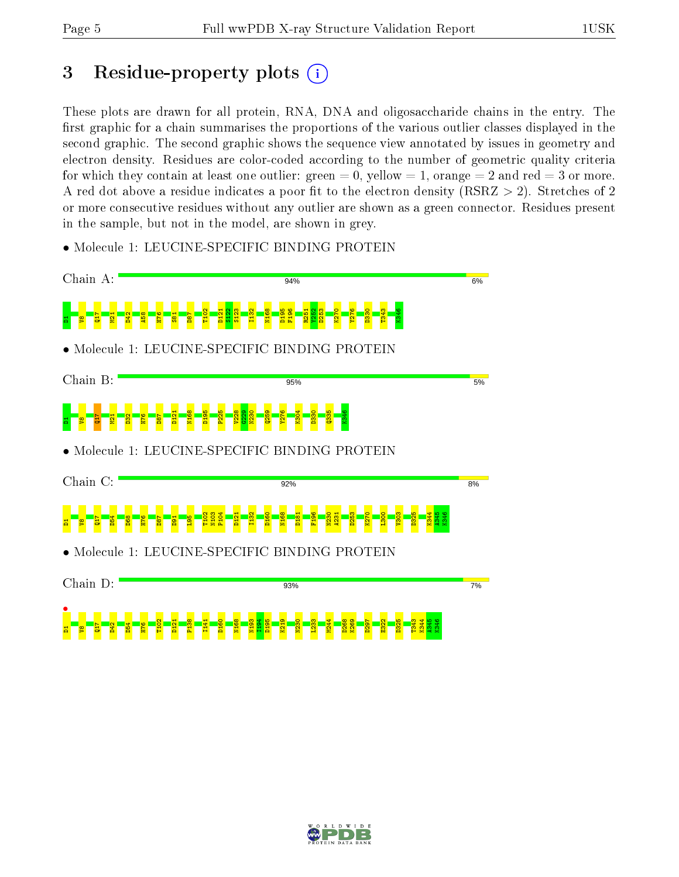## 3 Residue-property plots  $(i)$

These plots are drawn for all protein, RNA, DNA and oligosaccharide chains in the entry. The first graphic for a chain summarises the proportions of the various outlier classes displayed in the second graphic. The second graphic shows the sequence view annotated by issues in geometry and electron density. Residues are color-coded according to the number of geometric quality criteria for which they contain at least one outlier: green  $= 0$ , yellow  $= 1$ , orange  $= 2$  and red  $= 3$  or more. A red dot above a residue indicates a poor fit to the electron density ( $\text{RSRZ} > 2$ ). Stretches of 2 or more consecutive residues without any outlier are shown as a green connector. Residues present in the sample, but not in the model, are shown in grey.

• Molecule 1: LEUCINE-SPECIFIC BINDING PROTEIN



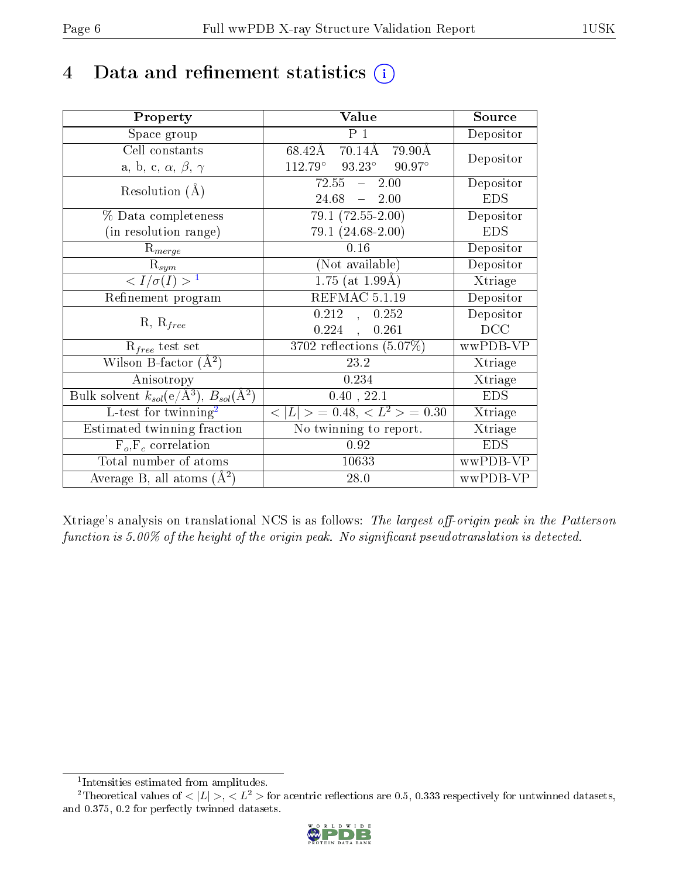## 4 Data and refinement statistics  $(i)$

| Property                                                         | Value                                             | Source     |
|------------------------------------------------------------------|---------------------------------------------------|------------|
| Space group                                                      | $\overline{P1}$                                   | Depositor  |
| Cell constants                                                   | 70.14Å 79.90Å<br>68.42Å                           |            |
| a, b, c, $\alpha$ , $\beta$ , $\gamma$                           | $112.79^\circ$<br>$93.23^{\circ}$ $90.97^{\circ}$ | Depositor  |
| Resolution $(A)$                                                 | $72.55 - 2.00$                                    | Depositor  |
|                                                                  | 24.68<br>$-2.00$                                  | <b>EDS</b> |
| % Data completeness                                              | $79.1(72.55-2.00)$                                | Depositor  |
| (in resolution range)                                            | $79.1(24.68-2.00)$                                | <b>EDS</b> |
| $R_{merge}$                                                      | 0.16                                              | Depositor  |
| $\mathrm{R}_{sym}$                                               | (Not available)                                   | Depositor  |
| $\langle I/\sigma(I) \rangle^{-1}$                               | $1.75$ (at $1.99\text{\AA}$ )                     | Xtriage    |
| Refinement program                                               | $\overline{\text{REFMAC}}$ 5.1.19                 | Depositor  |
|                                                                  | $\overline{0.212}$ ,<br>0.252                     | Depositor  |
| $R, R_{free}$                                                    | $0.224$ ,<br>0.261                                | DCC        |
| $\mathcal{R}_{free}$ test set                                    | $3702$ reflections $(5.07\%)$                     | wwPDB-VP   |
| Wilson B-factor $(A^2)$                                          | 23.2                                              | Xtriage    |
| Anisotropy                                                       | 0.234                                             | Xtriage    |
| Bulk solvent $k_{sol}(\text{e}/\text{A}^3), B_{sol}(\text{A}^2)$ | 0.40, 22.1                                        | <b>EDS</b> |
| L-test for twinning <sup>2</sup>                                 | $< L >$ = 0.48, $< L2 >$ = 0.30                   | Xtriage    |
| Estimated twinning fraction                                      | No twinning to report.                            | Xtriage    |
| $F_o, F_c$ correlation                                           | 0.92                                              | <b>EDS</b> |
| Total number of atoms                                            | 10633                                             | wwPDB-VP   |
| Average B, all atoms $(A^2)$                                     | 28.0                                              | wwPDB-VP   |

Xtriage's analysis on translational NCS is as follows: The largest off-origin peak in the Patterson function is  $5.00\%$  of the height of the origin peak. No significant pseudotranslation is detected.

<sup>&</sup>lt;sup>2</sup>Theoretical values of  $\langle |L| \rangle$ ,  $\langle L^2 \rangle$  for acentric reflections are 0.5, 0.333 respectively for untwinned datasets, and 0.375, 0.2 for perfectly twinned datasets.



<span id="page-5-1"></span><span id="page-5-0"></span><sup>1</sup> Intensities estimated from amplitudes.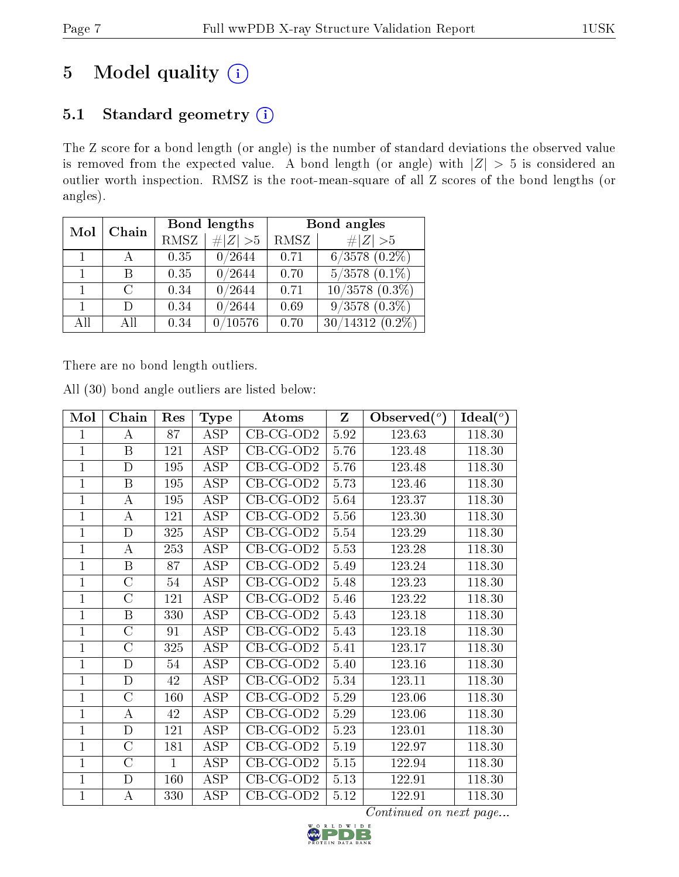## 5 Model quality  $(i)$

### 5.1 Standard geometry (i)

The Z score for a bond length (or angle) is the number of standard deviations the observed value is removed from the expected value. A bond length (or angle) with  $|Z| > 5$  is considered an outlier worth inspection. RMSZ is the root-mean-square of all Z scores of the bond lengths (or angles).

| Mol | Chain         |             | Bond lengths | Bond angles |                             |  |
|-----|---------------|-------------|--------------|-------------|-----------------------------|--|
|     |               | <b>RMSZ</b> | $\# Z  > 5$  | RMSZ        | $\# Z  > 5$                 |  |
|     |               | 0.35        | 0/2644       | 0.71        | $6/3578(0.2\%)$             |  |
|     | R             | 0.35        | 0/2644       | 0.70        | $5/3578$ $(0.1\%)$          |  |
|     | $\mathcal{C}$ | 0.34        | 0/2644       | 0.71        | $\overline{10/3578(0.3\%)}$ |  |
|     | Ð             | 0.34        | 0/2644       | 0.69        | $9/3578$ $(0.3\%)$          |  |
| All | All           | 0.34        | 0/10576      | 0.70        | $30/14312(0.2\%)$           |  |

There are no bond length outliers.

|  |  | All (30) bond angle outliers are listed below: |  |  |
|--|--|------------------------------------------------|--|--|
|  |  |                                                |  |  |

| Mol            | Chain              | Res          | <b>Type</b>             | Atoms        | $\mathbf{Z}$ | Observed $(°)$ | Ideal $(°)$ |
|----------------|--------------------|--------------|-------------------------|--------------|--------------|----------------|-------------|
| 1              | A                  | 87           | <b>ASP</b>              | $CB-CG-OD2$  | 5.92         | 123.63         | 118.30      |
| $\overline{1}$ | $\mathbf{B}$       | 121          | <b>ASP</b>              | $CB-CG-OD2$  | 5.76         | 123.48         | 118.30      |
| $\overline{1}$ | $\mathbf D$        | 195          | <b>ASP</b>              | $CB-CG-OD2$  | 5.76         | 123.48         | 118.30      |
| $\mathbf 1$    | $\boldsymbol{B}$   | 195          | <b>ASP</b>              | $CB-CG-OD2$  | 5.73         | 123.46         | 118.30      |
| 1              | А                  | 195          | <b>ASP</b>              | $CB-CG-OD2$  | 5.64         | 123.37         | 118.30      |
| $\mathbf{1}$   | $\bf{A}$           | 121          | <b>ASP</b>              | $CB-CG-OD2$  | 5.56         | 123.30         | 118.30      |
| $\mathbf{1}$   | D                  | 325          | <b>ASP</b>              | $CB-CG-OD2$  | 5.54         | 123.29         | 118.30      |
| $\mathbf{1}$   | $\bf{A}$           | 253          | <b>ASP</b>              | $CB$ -CG-OD2 | 5.53         | 123.28         | 118.30      |
| 1              | B                  | 87           | ASP                     | $CB-CG-OD2$  | 5.49         | 123.24         | 118.30      |
| $\mathbf{1}$   | $\overline{C}$     | 54           | <b>ASP</b>              | $CB-CG-OD2$  | 5.48         | 123.23         | 118.30      |
| $\mathbf{1}$   | $\rm C$            | 121          | <b>ASP</b>              | $CB-CG-OD2$  | 5.46         | 123.22         | 118.30      |
| $\mathbf{1}$   | $\mathbf B$        | 330          | <b>ASP</b>              | $CB$ -CG-OD2 | 5.43         | 123.18         | 118.30      |
| $\mathbf{1}$   | $\overline{C}$     | 91           | $\overline{\text{ASP}}$ | $CB-CG-OD2$  | 5.43         | 123.18         | 118.30      |
| $\overline{1}$ | $\overline{C}$     | 325          | <b>ASP</b>              | $CB-CG-OD2$  | 5.41         | 123.17         | 118.30      |
| $\mathbf{1}$   | $\overline{\rm D}$ | 54           | $\overline{ASP}$        | $CB-CG-OD2$  | 5.40         | 123.16         | 118.30      |
| $\overline{1}$ | $\mathbf D$        | 42           | <b>ASP</b>              | $CB-CG-OD2$  | 5.34         | 123.11         | 118.30      |
| $\mathbf 1$    | $\rm C$            | 160          | <b>ASP</b>              | $CB-CG-OD2$  | 5.29         | 123.06         | 118.30      |
| $\overline{1}$ | $\bf{A}$           | 42           | ASP                     | $CB-CG-OD2$  | 5.29         | 123.06         | 118.30      |
| 1              | $\mathbf D$        | 121          | <b>ASP</b>              | $CB$ -CG-OD2 | 5.23         | 123.01         | 118.30      |
| $\mathbf 1$    | $\mathcal{C}$      | 181          | $AS\overline{P}$        | $CB-CG-OD2$  | 5.19         | 122.97         | 118.30      |
| 1              | $\overline{C}$     | $\mathbf{1}$ | ASP                     | $CB-CG-OD2$  | 5.15         | 122.94         | 118.30      |
| $\mathbf{1}$   | D                  | 160          | <b>ASP</b>              | $CB-CG-OD2$  | 5.13         | 122.91         | 118.30      |
| $\mathbf{1}$   | $\boldsymbol{A}$   | 330          | ASP                     | $CB-CG-OD2$  | 5.12         | 122.91         | 118.30      |

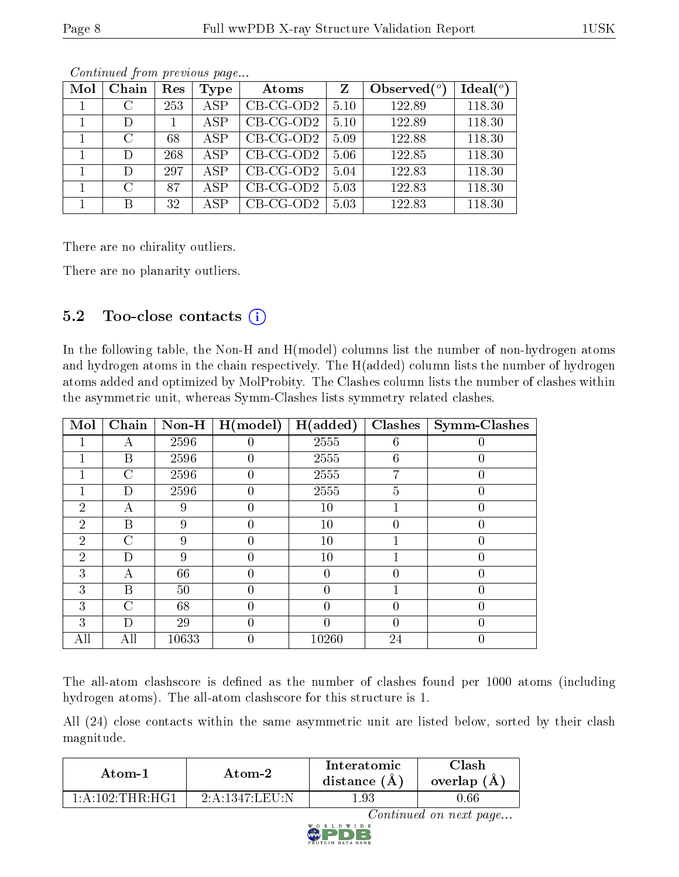| Mol | Chain         | Res | <b>Type</b> | Atoms       | Z    | Observed $(°)$ | Ideal $(°)$ |
|-----|---------------|-----|-------------|-------------|------|----------------|-------------|
|     | $\mathcal{C}$ | 253 | <b>ASP</b>  | $CB-CG-OD2$ | 5.10 | 122.89         | 118.30      |
|     | D             |     | <b>ASP</b>  | $CB-CG-OD2$ | 5.10 | 122.89         | 118.30      |
|     | C             | 68  | <b>ASP</b>  | $CB-CG-OD2$ | 5.09 | 122.88         | 118.30      |
|     | $\Box$        | 268 | ASP         | $CB-CG-OD2$ | 5.06 | 122.85         | 118.30      |
|     | D             | 297 | <b>ASP</b>  | $CB-CG-OD2$ | 5.04 | 122.83         | 118.30      |
|     | $\cap$        | 87  | <b>ASP</b>  | $CB-CG-OD2$ | 5.03 | 122.83         | 118.30      |
|     | R             | 32  | ASP         | $CB-CG-OD2$ | 5.03 | 122.83         | 118.30      |

Continued from previous page...

There are no chirality outliers.

There are no planarity outliers.

### 5.2 Too-close contacts  $(i)$

In the following table, the Non-H and H(model) columns list the number of non-hydrogen atoms and hydrogen atoms in the chain respectively. The H(added) column lists the number of hydrogen atoms added and optimized by MolProbity. The Clashes column lists the number of clashes within the asymmetric unit, whereas Symm-Clashes lists symmetry related clashes.

| Mol            | Chain          | $Non-H$ | H (model) | H(added) | <b>Clashes</b> | <b>Symm-Clashes</b> |
|----------------|----------------|---------|-----------|----------|----------------|---------------------|
|                | А              | 2596    |           | 2555     | 6              |                     |
|                | Β              | 2596    | 0         | 2555     | 6              |                     |
|                | $\overline{C}$ | 2596    | 0         | 2555     | 7              |                     |
|                | D              | 2596    | 0         | 2555     | 5              | 0                   |
| $\overline{2}$ | А              | 9       |           | 10       |                |                     |
| $\overline{2}$ | B              | 9       | 0         | 10       | 0              |                     |
| $\overline{2}$ | $\mathcal{C}$  | 9       | 0         | 10       |                |                     |
| $\overline{2}$ | D              | 9       |           | 10       |                |                     |
| 3              | А              | 66      | 0         | 0        | 0              |                     |
| 3              | B              | 50      | 0         | 0        |                | O                   |
| 3              | $\mathcal{C}$  | 68      |           |          | 0              |                     |
| 3              | D              | 29      |           | 0        | 0              |                     |
| All            | All            | 10633   | 0         | 10260    | 24             |                     |

The all-atom clashscore is defined as the number of clashes found per 1000 atoms (including hydrogen atoms). The all-atom clashscore for this structure is 1.

All (24) close contacts within the same asymmetric unit are listed below, sorted by their clash magnitude.

| Atom-1                     | Atom-2            | Interatomic<br>distance $(A)$ | 7lash<br>overlap (A) |
|----------------------------|-------------------|-------------------------------|----------------------|
| $1:$ A:102:THR $\cdot$ HG1 | $2:$ A:1347:LEU:N | .93                           | 0.66                 |

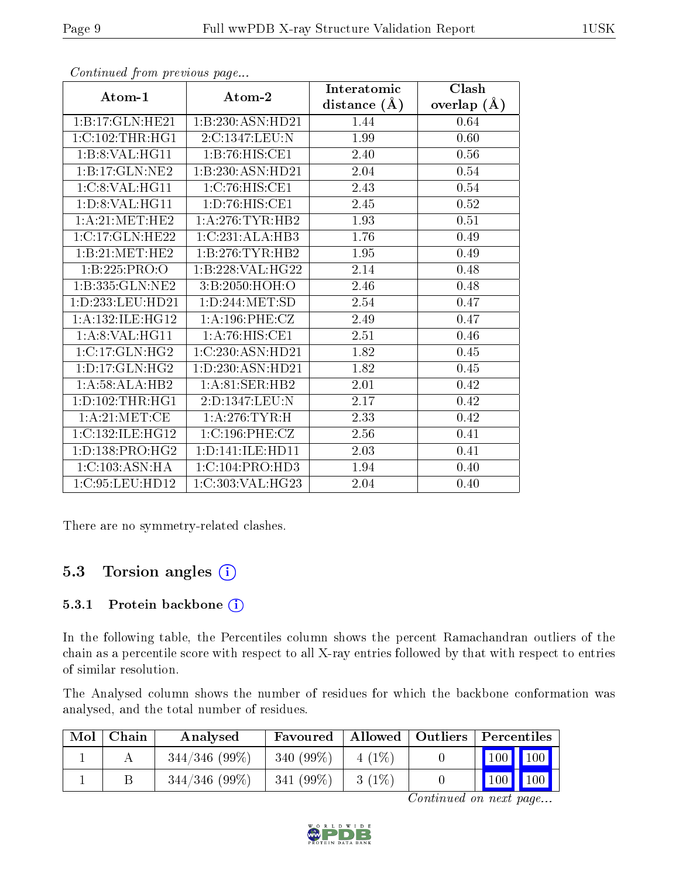|                     |                      | Interatomic    | Clash         |  |
|---------------------|----------------------|----------------|---------------|--|
| Atom-1              | Atom-2               | distance $(A)$ | overlap $(A)$ |  |
| 1:B:17:GLN:HE21     | 1:B:230:ASN:HD21     | 1.44           | 0.64          |  |
| 1:C:102:THR:HGI     | 2:C:1347:LEU:N       | 1.99           | 0.60          |  |
| 1:B:8:VAL:HG11      | 1:B:76:HIS:CE1       | 2.40           | 0.56          |  |
| 1:B:17:GLN:NE2      | 1:B:230:ASN:HD21     | 2.04           | 0.54          |  |
| 1:C:8:VAL:HG11      | 1:C:76:HIS:CE1       | 2.43           | 0.54          |  |
| 1:D:8:VAL:HG11      | 1: D: 76: HIS: CE1   | 2.45           | 0.52          |  |
| 1: A:21: MET:HE2    | 1: A:276:TYR:HB2     | 1.93           | 0.51          |  |
| 1:C:17:GLN:HE22     | 1:C:231:ALA:HB3      | 1.76           | 0.49          |  |
| 1:B:21:MET:HE2      | 1:B:276:TYR:HB2      | 1.95           | 0.49          |  |
| 1:B:225:PRO:O       | 1:B:228:VAL:HG22     | 2.14           | 0.48          |  |
| 1:B:335:GLN:NE2     | 3:B:2050:HOH:O       | 2.46           | 0.48          |  |
| 1:D:233:LEU:HD21    | 1: D: 244: MET: SD   | 2.54           | 0.47          |  |
| 1:A:132:ILE:HG12    | 1:A:196:PHE:CZ       | 2.49           | 0.47          |  |
| 1:A:8:VAL:HG11      | 1: A:76: HIS: CE1    | 2.51           | 0.46          |  |
| 1:C:17:GLN:HG2      | 1:C:230:ASN:HD21     | 1.82           | 0.45          |  |
| 1: D: 17: GLN: HG2  | 1: D: 230: ASN: HD21 | 1.82           | 0.45          |  |
| 1:A:58:ALA:HB2      | 1: A:81:SER:HB2      | 2.01           | 0.42          |  |
| 1: D: 102: THR: HG1 | 2:D:1347:LEU:N       | 2.17           | 0.42          |  |
| 1: A:21: MET:CE     | 1:A:276:TYR:H        | 2.33           | 0.42          |  |
| 1:C:132:ILE:HG12    | 1:C:196:PHE:CZ       | 2.56           | 0.41          |  |
| 1: D: 138: PRO:HG2  | 1: D: 141: ILE: HD11 | 2.03           | 0.41          |  |
| 1:C:103:ASN:HA      | 1:C:104:PRO:HD3      | 1.94           | 0.40          |  |
| 1:C:95:LEU:HD12     | 1:C:303:VAL:HG23     | 2.04           | 0.40          |  |

Continued from previous page...

There are no symmetry-related clashes.

#### 5.3 Torsion angles  $(i)$

#### 5.3.1 Protein backbone (i)

In the following table, the Percentiles column shows the percent Ramachandran outliers of the chain as a percentile score with respect to all X-ray entries followed by that with respect to entries of similar resolution.

The Analysed column shows the number of residues for which the backbone conformation was analysed, and the total number of residues.

| Mol | Chain | Analysed        | Favoured     |          | Allowed   Outliers   Percentiles |                                 |
|-----|-------|-----------------|--------------|----------|----------------------------------|---------------------------------|
|     |       | $344/346(99\%)$ | $340(99\%)$  | $4(1\%)$ |                                  | $\vert$ 100 $\vert$ 100 $\vert$ |
|     |       | $344/346(99\%)$ | $341 (99\%)$ | $3(1\%)$ |                                  | $\mid$ 100 $\mid$ 100 $\mid$    |

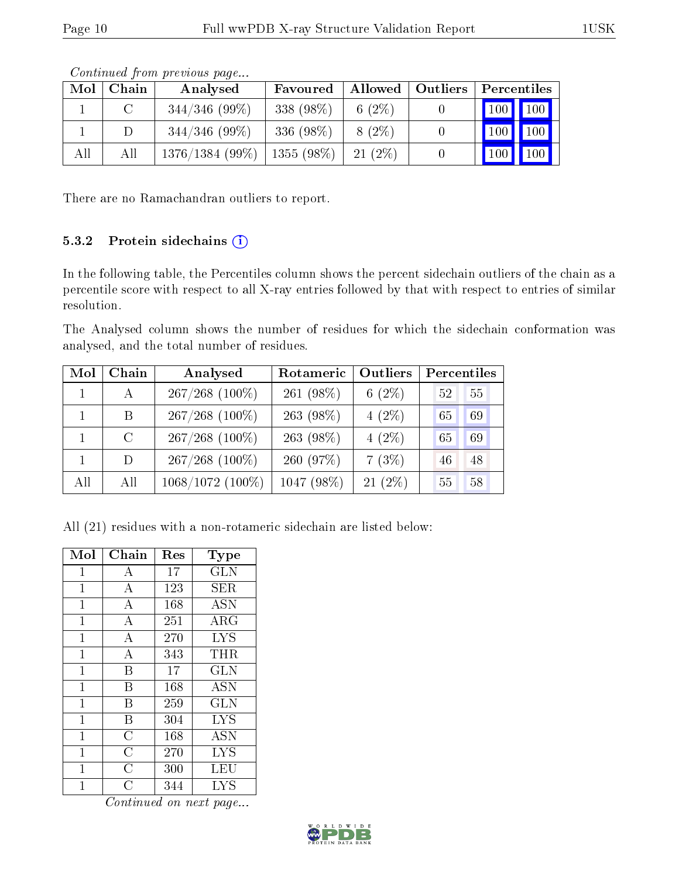|     | Controlled Hone Motor all page is |                                |            |                    |  |                             |                             |  |  |  |  |
|-----|-----------------------------------|--------------------------------|------------|--------------------|--|-----------------------------|-----------------------------|--|--|--|--|
| Mol | Chain                             | Analysed                       | Favoured   | Allowed   Outliers |  | Percentiles                 |                             |  |  |  |  |
|     |                                   | $344/346$ (99\%)               | 338 (98\%) | 6 $(2\%)$          |  | $\boxed{100}$ $\boxed{100}$ |                             |  |  |  |  |
|     |                                   | $344/346(99\%)$                | 336 (98%)  | $8(2\%)$           |  | 100                         | $\vert$ 100 $\vert$ $\vert$ |  |  |  |  |
| All | All                               | $1376/1384$ (99%)   1355 (98%) |            | $21(2\%)$          |  | 100                         | $\vert$ 100 $\vert$ $\vert$ |  |  |  |  |

Continued from previous page...

There are no Ramachandran outliers to report.

#### 5.3.2 Protein sidechains (i)

In the following table, the Percentiles column shows the percent sidechain outliers of the chain as a percentile score with respect to all X-ray entries followed by that with respect to entries of similar resolution.

The Analysed column shows the number of residues for which the sidechain conformation was analysed, and the total number of residues.

| Mol | Chain   | Analysed         | Rotameric    | Outliers  | Percentiles |
|-----|---------|------------------|--------------|-----------|-------------|
|     |         | $267/268$ (100%) | 261 $(98\%)$ | 6 $(2\%)$ | 55<br>52    |
|     | B       | $267/268$ (100%) | 263 (98%)    | $4(2\%)$  | 69<br>65    |
|     | $\rm C$ | $267/268$ (100%) | 263 (98%)    | $4(2\%)$  | 69<br>65    |
|     | D       | $267/268$ (100%) | 260 (97%)    | 7(3%)     | 48<br>46    |
| All | All     | 1068/1072 (100%) | 1047 (98%)   | $21(2\%)$ | 58<br>55    |

All (21) residues with a non-rotameric sidechain are listed below:

| Mol            | Chain            | Res | Type       |
|----------------|------------------|-----|------------|
| $\mathbf{1}$   | A                | 17  | <b>GLN</b> |
| $\overline{1}$ | $\boldsymbol{A}$ | 123 | <b>SER</b> |
| $\mathbf{1}$   | $\boldsymbol{A}$ | 168 | <b>ASN</b> |
| $\mathbf{1}$   | $\overline{A}$   | 251 | ARG        |
| $\mathbf{1}$   | $\boldsymbol{A}$ | 270 | <b>LYS</b> |
| $\mathbf{1}$   | $\overline{A}$   | 343 | THR        |
| 1              | B                | 17  | <b>GLN</b> |
| $\mathbf 1$    | B                | 168 | <b>ASN</b> |
| $\mathbf 1$    | B                | 259 | <b>GLN</b> |
| $\mathbf{1}$   | B                | 304 | <b>LYS</b> |
| $\mathbf{1}$   | $\overline{C}$   | 168 | <b>ASN</b> |
| $\overline{1}$ | $\overline{C}$   | 270 | <b>LYS</b> |
| 1              | $\overline{C}$   | 300 | LEU        |
| 1              | С                | 344 | <b>LYS</b> |

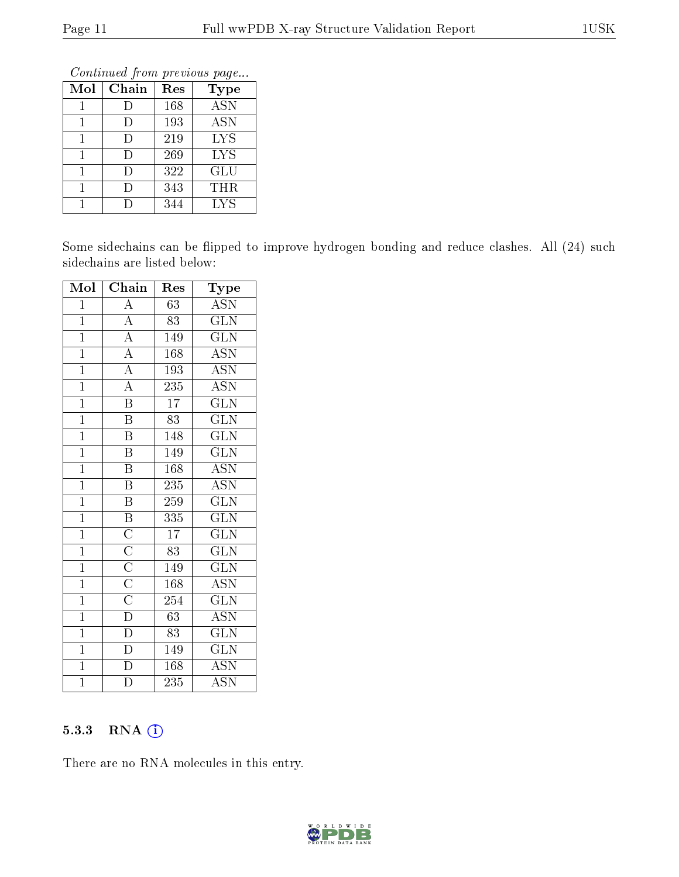Continued from previous page...

| Mol | Chain | Res | <b>Type</b> |
|-----|-------|-----|-------------|
|     | Е     | 168 | <b>ASN</b>  |
|     |       | 193 | <b>ASN</b>  |
|     |       | 219 | <b>LYS</b>  |
|     | Ð     | 269 | <b>LYS</b>  |
|     |       | 322 | <b>GLU</b>  |
|     | I)    | 343 | <b>THR</b>  |
|     |       | 344 | <b>LYS</b>  |

Some sidechains can be flipped to improve hydrogen bonding and reduce clashes. All (24) such sidechains are listed below:

| Mol            | Chain                                              | Res              | Type                      |
|----------------|----------------------------------------------------|------------------|---------------------------|
| $\mathbf 1$    | $\boldsymbol{A}$                                   | 63               | <b>ASN</b>                |
| $\overline{1}$ | $\overline{A}$                                     | 83               | $\widetilde{{\rm GLN}}$   |
| $\overline{1}$ | $\overline{A}$                                     | 149              | <b>GLN</b>                |
| $\mathbf{1}$   | $\overline{A}$                                     | 168              | <b>ASN</b>                |
| $\overline{1}$ | $\overline{A}$                                     | 193              | $\overline{\mathrm{ASN}}$ |
| $\mathbf{1}$   | $\overline{A}$                                     | 235              | <b>ASN</b>                |
| $\overline{1}$ | $\overline{\mathrm{B}}$                            | $\overline{17}$  | $\overline{\text{GLN}}$   |
| $\mathbf{1}$   | B                                                  | 83               | <b>GLN</b>                |
| $\mathbf{1}$   | $\boldsymbol{\mathrm{B}}$                          | 148              | <b>GLN</b>                |
| $\mathbf{1}$   | $\boldsymbol{\mathrm{B}}$                          | 149              | $\overline{\text{GLN}}$   |
| $\mathbf{1}$   | $\boldsymbol{\mathrm{B}}$                          | 168              | <b>ASN</b>                |
| $\mathbf{1}$   | $\overline{\mathrm{B}}$                            | 235              | $\overline{\mathrm{ASN}}$ |
| $\mathbf{1}$   | Β                                                  | 259              | <b>GLN</b>                |
| $\mathbf{1}$   | $\overline{\mathbf{B}}$                            | 335              | $\overline{\text{GLN}}$   |
| $\mathbf{1}$   | $\overline{C}$                                     | 17               | <b>GLN</b>                |
| $\mathbf{1}$   |                                                    | 83               | <b>GLN</b>                |
| $\mathbf{1}$   | $\frac{\overline{\text{C}}}{\overline{\text{C}}}}$ | 149              | <b>GLN</b>                |
| $\mathbf{1}$   |                                                    | 168              | <b>ASN</b>                |
| $\overline{1}$ |                                                    | 254              | <b>GLN</b>                |
| $\mathbf{1}$   | $\overline{D}$                                     | 63               | <b>ASN</b>                |
| $\mathbf{1}$   | $\overline{D}$                                     | 83               | <b>GLN</b>                |
| $\overline{1}$ | $\overline{D}$                                     | 149              | $\overline{\text{GLN}}$   |
| $\overline{1}$ | $\overline{\rm D}$                                 | 168              | ASN                       |
| $\overline{1}$ | $\overline{\rm D}$                                 | $\overline{235}$ | $\overline{\mathrm{ASN}}$ |

#### 5.3.3 RNA [O](https://www.wwpdb.org/validation/2017/XrayValidationReportHelp#rna)i

There are no RNA molecules in this entry.

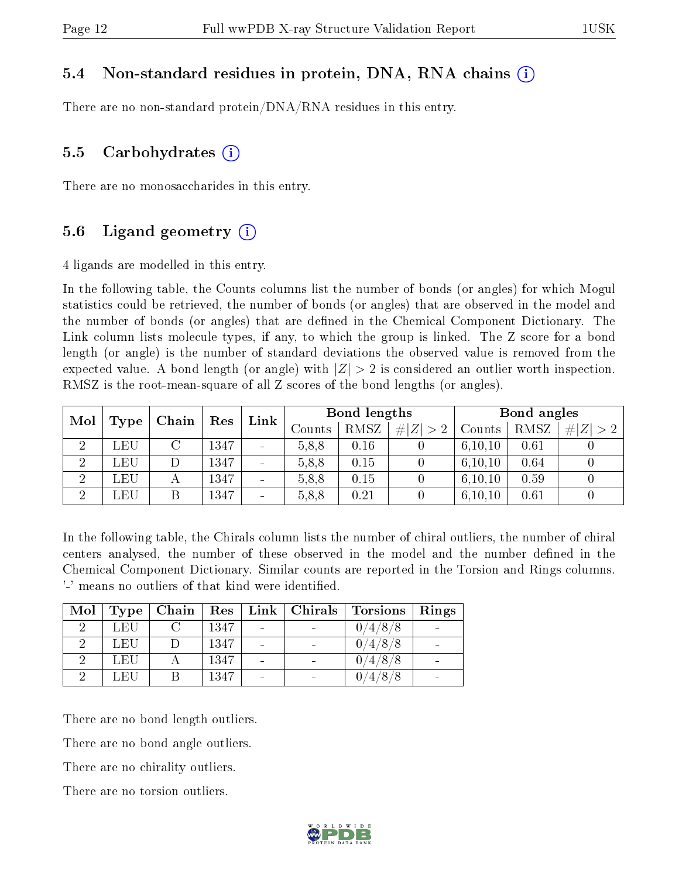#### 5.4 Non-standard residues in protein, DNA, RNA chains (i)

There are no non-standard protein/DNA/RNA residues in this entry.

#### 5.5 Carbohydrates (i)

There are no monosaccharides in this entry.

#### 5.6 Ligand geometry  $(i)$

4 ligands are modelled in this entry.

In the following table, the Counts columns list the number of bonds (or angles) for which Mogul statistics could be retrieved, the number of bonds (or angles) that are observed in the model and the number of bonds (or angles) that are dened in the Chemical Component Dictionary. The Link column lists molecule types, if any, to which the group is linked. The Z score for a bond length (or angle) is the number of standard deviations the observed value is removed from the expected value. A bond length (or angle) with  $|Z| > 2$  is considered an outlier worth inspection. RMSZ is the root-mean-square of all Z scores of the bond lengths (or angles).

| Mol            |            | Chain | Res  | Link                     | Bond lengths |      |             | Bond angles |      |           |
|----------------|------------|-------|------|--------------------------|--------------|------|-------------|-------------|------|-----------|
|                | Type       |       |      |                          | Counts       | RMSZ | # $ Z  > 2$ | Counts      | RMSZ | Z >2<br># |
| $\overline{2}$ | LEU        |       | 1347 | $\overline{\phantom{a}}$ | 5.8.8        | 0.16 |             | 6, 10, 10   | 0.61 |           |
| $\overline{2}$ | LEU        |       | 1347 | $\overline{\phantom{a}}$ | 5.8.8        | 0.15 |             | 6, 10, 10   | 0.64 |           |
| റ              | <b>LEU</b> | А     | 1347 | $\overline{\phantom{a}}$ | 5.8.8        | 0.15 |             | 6, 10, 10   | 0.59 |           |
| ച              | LEU        |       | 1347 | $\overline{\phantom{a}}$ | 5.8.8        | 0.21 |             | 6, 10, 10   | 0.61 |           |

In the following table, the Chirals column lists the number of chiral outliers, the number of chiral centers analysed, the number of these observed in the model and the number defined in the Chemical Component Dictionary. Similar counts are reported in the Torsion and Rings columns. '-' means no outliers of that kind were identified.

| Mol | Type | Chain | $\ \text{Res}\ $ | $\mid$ Link $\mid$ Chirals $\mid$ | <b>Torsions</b> | Rings |
|-----|------|-------|------------------|-----------------------------------|-----------------|-------|
|     | LEU  |       | 1347             |                                   | 0/4/8/8         |       |
|     | LEU  |       | 1347             |                                   | 0/4/8/8         |       |
|     | LEU  |       | 1347             |                                   | 0/4/8/8         |       |
|     | L EH |       | 1347             |                                   | 4/8/8           |       |

There are no bond length outliers.

There are no bond angle outliers.

There are no chirality outliers.

There are no torsion outliers.

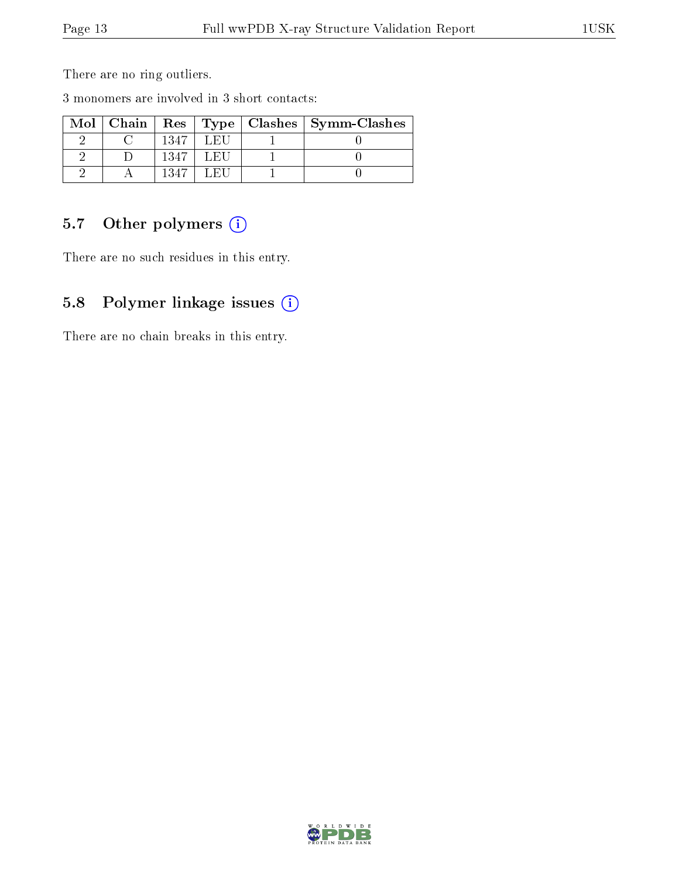There are no ring outliers.

3 monomers are involved in 3 short contacts:

| Mol |      |       | $\mid$ Chain $\mid$ Res $\mid$ Type $\mid$ Clashes $\mid$ Symm-Clashes |
|-----|------|-------|------------------------------------------------------------------------|
|     | 1347 | LET.  |                                                                        |
|     | 1347 | L ET. |                                                                        |
|     | 1247 |       |                                                                        |

### 5.7 [O](https://www.wwpdb.org/validation/2017/XrayValidationReportHelp#nonstandard_residues_and_ligands)ther polymers (i)

There are no such residues in this entry.

### 5.8 Polymer linkage issues (i)

There are no chain breaks in this entry.

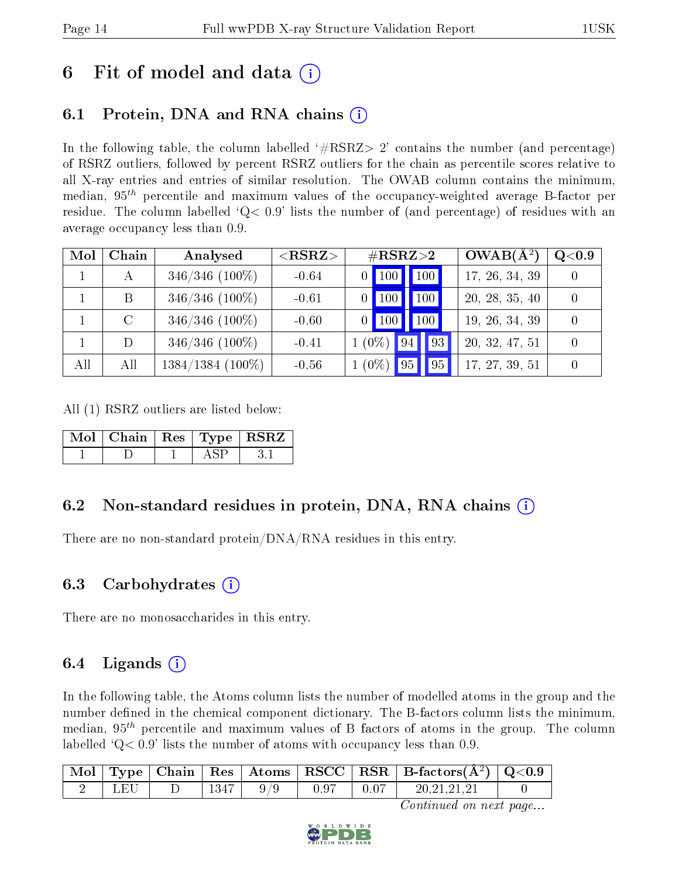## 6 Fit of model and data  $\left( \cdot \right)$

### 6.1 Protein, DNA and RNA chains (i)

In the following table, the column labelled  $#RSRZ> 2'$  contains the number (and percentage) of RSRZ outliers, followed by percent RSRZ outliers for the chain as percentile scores relative to all X-ray entries and entries of similar resolution. The OWAB column contains the minimum, median,  $95<sup>th</sup>$  percentile and maximum values of the occupancy-weighted average B-factor per residue. The column labelled  $Q< 0.9$  lists the number of (and percentage) of residues with an average occupancy less than 0.9.

| Mol | Chain | Analysed            | $<$ RSRZ $>$ | $\#\text{RSRZ}\text{>2}$ |              | $OWAB(A^2)$ | Q <sub>0.9</sub> |  |                |  |
|-----|-------|---------------------|--------------|--------------------------|--------------|-------------|------------------|--|----------------|--|
|     |       | $346/346$ (100%)    | $-0.64$      |                          | 100          |             | 100,             |  | 17, 26, 34, 39 |  |
|     | B     | $346/346$ (100%)    | $-0.61$      |                          | 100          |             | <b>100</b>       |  | 20, 28, 35, 40 |  |
|     |       | $346/346$ (100%)    | $-0.60$      |                          | $\sqrt{100}$ |             | 100 <sub>1</sub> |  | 19, 26, 34, 39 |  |
|     |       | $346/346$ (100%)    | $-0.41$      | $1(0\%)$                 |              | 94          | $\vert 93 \vert$ |  | 20, 32, 47, 51 |  |
| All | All   | $1384/1384$ (100\%) | $-0.56$      | $1(0\%)$                 |              |             | $\vert$ 95       |  | 17, 27, 39, 51 |  |

All (1) RSRZ outliers are listed below:

| Mol   Chain   Res   Type   RSRZ |  |  |
|---------------------------------|--|--|
|                                 |  |  |

#### 6.2 Non-standard residues in protein, DNA, RNA chains (i)

There are no non-standard protein/DNA/RNA residues in this entry.

#### 6.3 Carbohydrates (i)

There are no monosaccharides in this entry.

### 6.4 Ligands  $(i)$

In the following table, the Atoms column lists the number of modelled atoms in the group and the number defined in the chemical component dictionary. The B-factors column lists the minimum, median,  $95<sup>th</sup>$  percentile and maximum values of B factors of atoms in the group. The column labelled  $Q < 0.9$ ' lists the number of atoms with occupancy less than 0.9.

| $\mid$ Mol $\mid$ |       |      |  | Type   Chain   Res   Atoms   RSCC   RSR   B-factors $(A^2)$   Q<0.9 |  |
|-------------------|-------|------|--|---------------------------------------------------------------------|--|
|                   | l H'I | 1347 |  | 20.21.21.21                                                         |  |